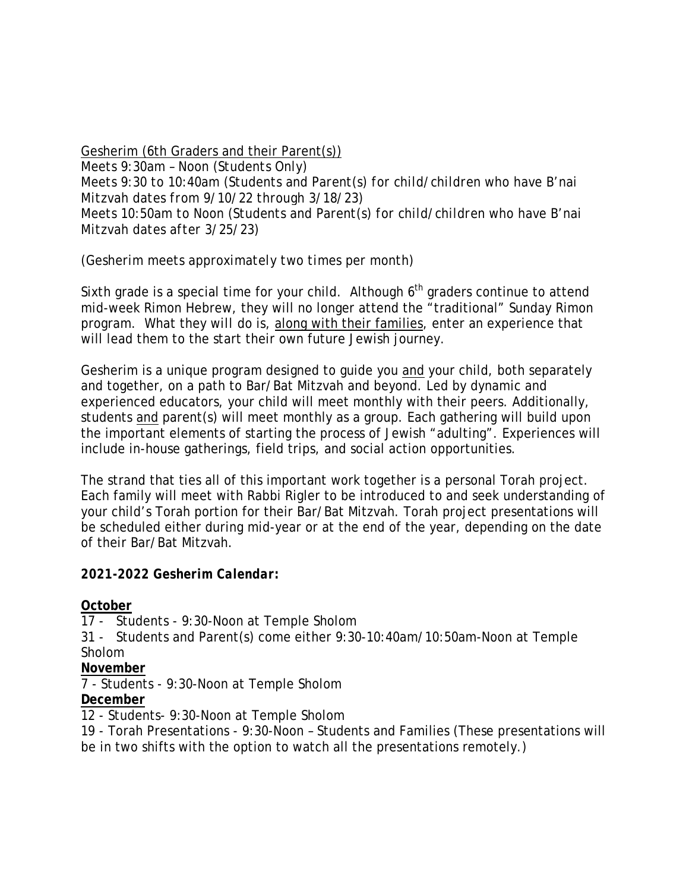#### Gesherim (6th Graders and their Parent(s))

*Meets 9:30am – Noon (Students Only) Meets 9:30 to 10:40am (Students and Parent(s) for child/children who have B'nai Mitzvah dates from 9/10/22 through 3/18/23) Meets 10:50am to Noon (Students and Parent(s) for child/children who have B'nai Mitzvah dates after 3/25/23)*

*(Gesherim meets approximately two times per month)*

Sixth grade is a special time for your child. Although  $6<sup>th</sup>$  graders continue to attend mid-week Rimon Hebrew, they will no longer attend the "traditional" Sunday Rimon program. What they *will do* is, along with their families, enter an experience that will lead them to the start their own future Jewish journey.

Gesherim is a unique program designed to guide you and your child, both separately and together, on a path to Bar/Bat Mitzvah and beyond. Led by dynamic and experienced educators, your child will meet monthly with their peers. Additionally, students and parent(s) will meet monthly as a group. Each gathering will build upon the important elements of starting the process of Jewish "adulting". Experiences will include in-house gatherings, field trips, and social action opportunities.

The strand that ties all of this important work together is a personal Torah project. Each family will meet with Rabbi Rigler to be introduced to and seek understanding of your child's Torah portion for their Bar/Bat Mitzvah. Torah project presentations will be scheduled either during mid-year or at the end of the year, depending on the date of their Bar/Bat Mitzvah.

## *2021-2022 Gesherim Calendar***:**

**October** 

17 - Students - 9:30-Noon at Temple Sholom

31 - Students and Parent(s) come either 9:30-10:40am/10:50am-Noon at Temple Sholom

**November**

7 - Students - 9:30-Noon at Temple Sholom

**December** 

12 - Students- 9:30-Noon at Temple Sholom

19 - Torah Presentations - 9:30-Noon – Students and Families (These presentations will be in two shifts with the option to watch all the presentations remotely.)